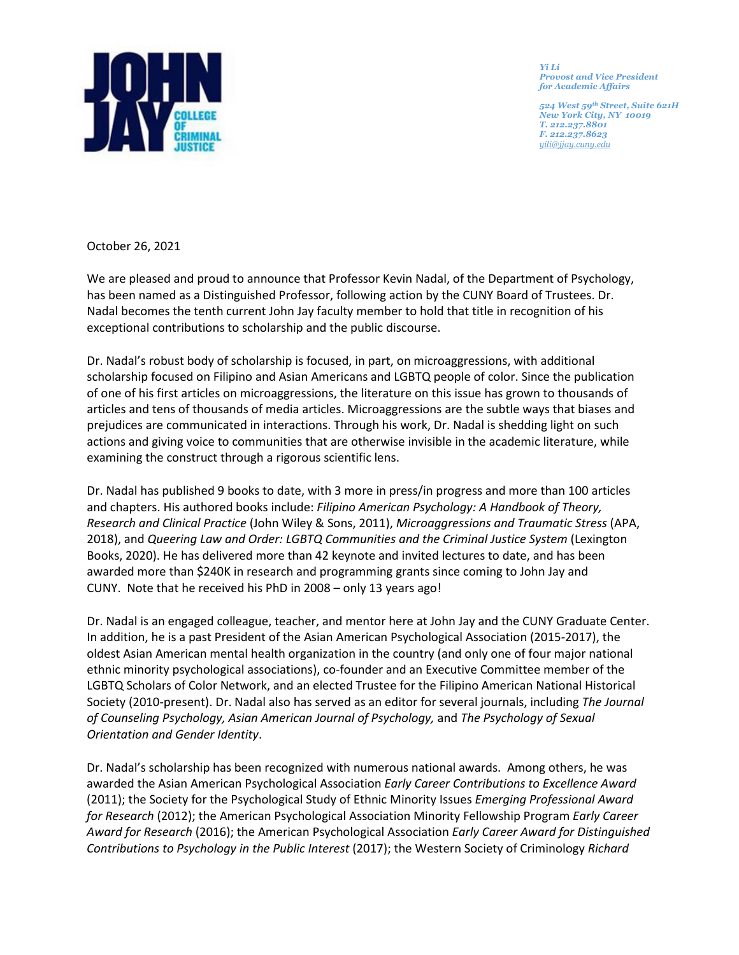

*Yi Li Provost and Vice President for Academic Affairs* 

*524 West 59th Street, Suite 621H New York City, NY 10019 T. 212.237.8801 F. 212.237.8623 [yili@jjay.cuny.edu](mailto:jbowers@jjay.cuny.edu)*

October 26, 2021

We are pleased and proud to announce that Professor Kevin Nadal, of the Department of Psychology, has been named as a Distinguished Professor, following action by the CUNY Board of Trustees. Dr. Nadal becomes the tenth current John Jay faculty member to hold that title in recognition of his exceptional contributions to scholarship and the public discourse.

Dr. Nadal's robust body of scholarship is focused, in part, on microaggressions, with additional scholarship focused on Filipino and Asian Americans and LGBTQ people of color. Since the publication of one of his first articles on microaggressions, the literature on this issue has grown to thousands of articles and tens of thousands of media articles. Microaggressions are the subtle ways that biases and prejudices are communicated in interactions. Through his work, Dr. Nadal is shedding light on such actions and giving voice to communities that are otherwise invisible in the academic literature, while examining the construct through a rigorous scientific lens.

Dr. Nadal has published 9 books to date, with 3 more in press/in progress and more than 100 articles and chapters. His authored books include: *Filipino American Psychology: A Handbook of Theory, Research and Clinical Practice* (John Wiley & Sons, 2011), *Microaggressions and Traumatic Stress* (APA, 2018), and *Queering Law and Order: LGBTQ Communities and the Criminal Justice System* (Lexington Books, 2020). He has delivered more than 42 keynote and invited lectures to date, and has been awarded more than \$240K in research and programming grants since coming to John Jay and CUNY. Note that he received his PhD in 2008 – only 13 years ago!

Dr. Nadal is an engaged colleague, teacher, and mentor here at John Jay and the CUNY Graduate Center. In addition, he is a past President of the Asian American Psychological Association (2015-2017), the oldest Asian American mental health organization in the country (and only one of four major national ethnic minority psychological associations), co-founder and an Executive Committee member of the LGBTQ Scholars of Color Network, and an elected Trustee for the Filipino American National Historical Society (2010-present). Dr. Nadal also has served as an editor for several journals, including *The Journal of Counseling Psychology, Asian American Journal of Psychology,* and *The Psychology of Sexual Orientation and Gender Identity*.

Dr. Nadal's scholarship has been recognized with numerous national awards. Among others, he was awarded the Asian American Psychological Association *Early Career Contributions to Excellence Award*  (2011); the Society for the Psychological Study of Ethnic Minority Issues *Emerging Professional Award for Research* (2012); the American Psychological Association Minority Fellowship Program *Early Career Award for Research* (2016); the American Psychological Association *Early Career Award for Distinguished Contributions to Psychology in the Public Interest* (2017); the Western Society of Criminology *Richard*